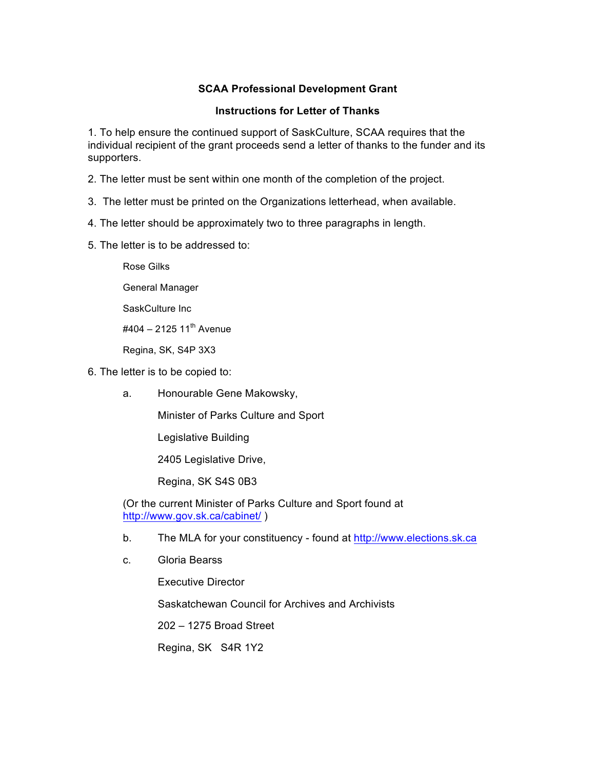## **SCAA Professional Development Grant**

## **Instructions for Letter of Thanks**

1. To help ensure the continued support of SaskCulture, SCAA requires that the individual recipient of the grant proceeds send a letter of thanks to the funder and its supporters.

2. The letter must be sent within one month of the completion of the project.

- 3. The letter must be printed on the Organizations letterhead, when available.
- 4. The letter should be approximately two to three paragraphs in length.
- 5. The letter is to be addressed to:

Rose Gilks

- General Manager
- SaskCulture Inc
- $\#404 212511^{th}$  Avenue

Regina, SK, S4P 3X3

- 6. The letter is to be copied to:
	- a. Honourable Gene Makowsky,

Minister of Parks Culture and Sport

Legislative Building

2405 Legislative Drive,

Regina, SK S4S 0B3

(Or the current Minister of Parks Culture and Sport found at http://www.gov.sk.ca/cabinet/ )

- b. The MLA for your constituency found at http://www.elections.sk.ca
- c. Gloria Bearss

Executive Director Saskatchewan Council for Archives and Archivists 202 – 1275 Broad Street Regina, SK S4R 1Y2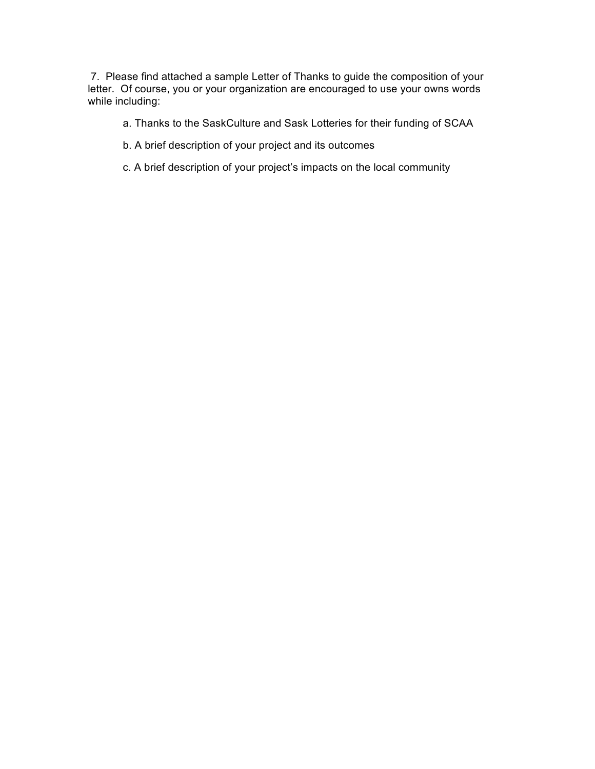7. Please find attached a sample Letter of Thanks to guide the composition of your letter. Of course, you or your organization are encouraged to use your owns words while including:

- a. Thanks to the SaskCulture and Sask Lotteries for their funding of SCAA
- b. A brief description of your project and its outcomes
- c. A brief description of your project's impacts on the local community